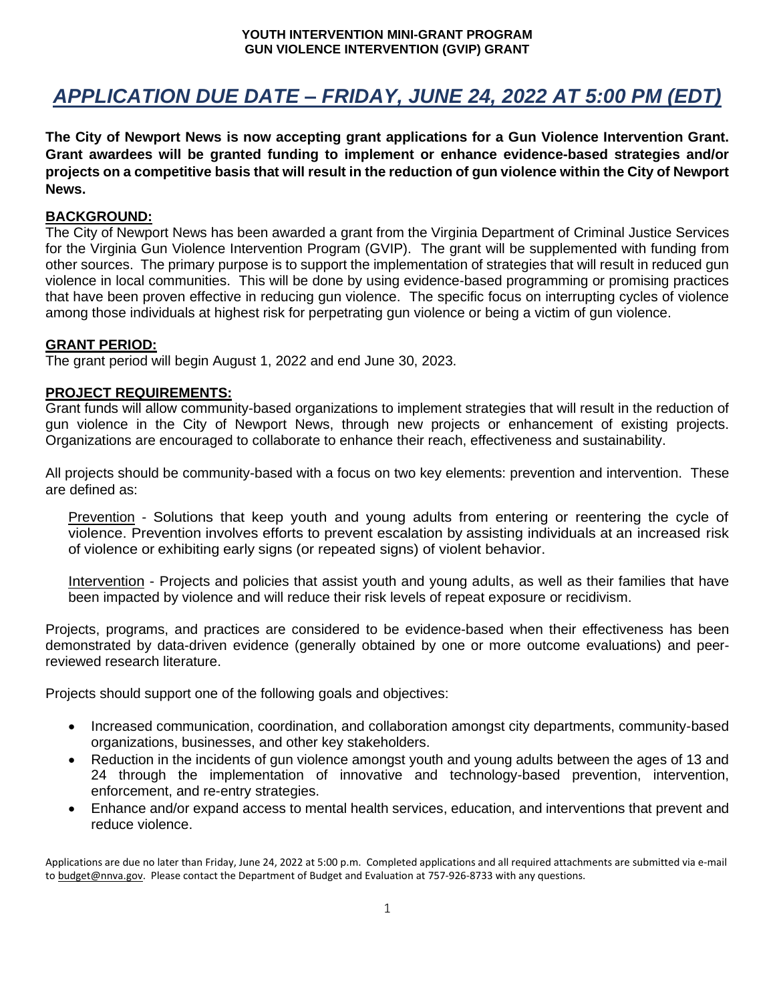# *APPLICATION DUE DATE – FRIDAY, JUNE 24, 2022 AT 5:00 PM (EDT)*

**The City of Newport News is now accepting grant applications for a Gun Violence Intervention Grant. Grant awardees will be granted funding to implement or enhance evidence-based strategies and/or projects on a competitive basis that will result in the reduction of gun violence within the City of Newport News.** 

### **BACKGROUND:**

The City of Newport News has been awarded a grant from the Virginia Department of Criminal Justice Services for the Virginia Gun Violence Intervention Program (GVIP). The grant will be supplemented with funding from other sources. The primary purpose is to support the implementation of strategies that will result in reduced gun violence in local communities. This will be done by using evidence-based programming or promising practices that have been proven effective in reducing gun violence. The specific focus on interrupting cycles of violence among those individuals at highest risk for perpetrating gun violence or being a victim of gun violence.

## **GRANT PERIOD:**

The grant period will begin August 1, 2022 and end June 30, 2023.

## **PROJECT REQUIREMENTS:**

Grant funds will allow community-based organizations to implement strategies that will result in the reduction of gun violence in the City of Newport News, through new projects or enhancement of existing projects. Organizations are encouraged to collaborate to enhance their reach, effectiveness and sustainability.

All projects should be community-based with a focus on two key elements: prevention and intervention. These are defined as:

Prevention - Solutions that keep youth and young adults from entering or reentering the cycle of violence. Prevention involves efforts to prevent escalation by assisting individuals at an increased risk of violence or exhibiting early signs (or repeated signs) of violent behavior.

Intervention - Projects and policies that assist youth and young adults, as well as their families that have been impacted by violence and will reduce their risk levels of repeat exposure or recidivism.

Projects, programs, and practices are considered to be evidence-based when their effectiveness has been demonstrated by data-driven evidence (generally obtained by one or more outcome evaluations) and peerreviewed research literature.

Projects should support one of the following goals and objectives:

- Increased communication, coordination, and collaboration amongst city departments, community-based organizations, businesses, and other key stakeholders.
- Reduction in the incidents of gun violence amongst youth and young adults between the ages of 13 and 24 through the implementation of innovative and technology-based prevention, intervention, enforcement, and re-entry strategies.
- Enhance and/or expand access to mental health services, education, and interventions that prevent and reduce violence.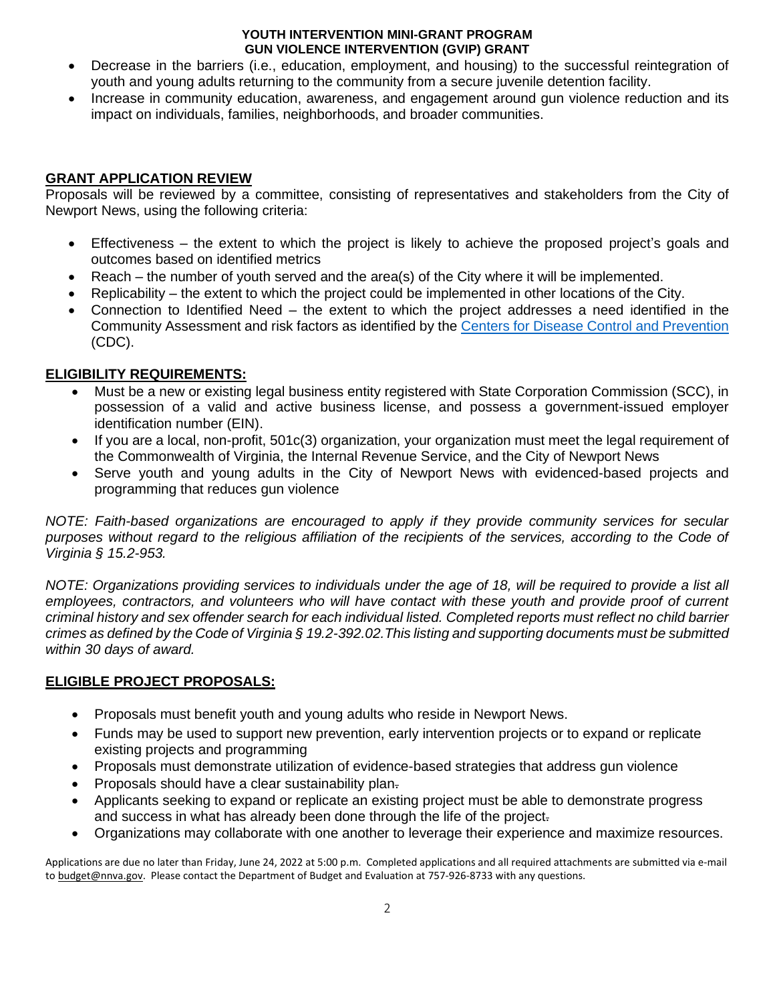- Decrease in the barriers (i.e., education, employment, and housing) to the successful reintegration of youth and young adults returning to the community from a secure juvenile detention facility.
- Increase in community education, awareness, and engagement around gun violence reduction and its impact on individuals, families, neighborhoods, and broader communities.

## **GRANT APPLICATION REVIEW**

Proposals will be reviewed by a committee, consisting of representatives and stakeholders from the City of Newport News, using the following criteria:

- Effectiveness the extent to which the project is likely to achieve the proposed project's goals and outcomes based on identified metrics
- Reach the number of youth served and the area(s) of the City where it will be implemented.
- Replicability the extent to which the project could be implemented in other locations of the City.
- Connection to Identified Need the extent to which the project addresses a need identified in the Community Assessment and risk factors as identified by the [Centers for Disease Control](https://www.cdc.gov/violenceprevention/aces/riskprotectivefactors.html) and Prevention (CDC).

## **ELIGIBILITY REQUIREMENTS:**

- Must be a new or existing legal business entity registered with State Corporation Commission (SCC), in possession of a valid and active business license, and possess a government-issued employer identification number (EIN).
- If you are a local, non-profit, 501c(3) organization, your organization must meet the legal requirement of the Commonwealth of Virginia, the Internal Revenue Service, and the City of Newport News
- Serve youth and young adults in the City of Newport News with evidenced-based projects and programming that reduces gun violence

*NOTE: Faith-based organizations are encouraged to apply if they provide community services for secular purposes without regard to the religious affiliation of the recipients of the services, according to the Code of Virginia § 15.2-953.*

*NOTE: Organizations providing services to individuals under the age of 18, will be required to provide a list all employees, contractors, and volunteers who will have contact with these youth and provide proof of current criminal history and sex offender search for each individual listed. Completed reports must reflect no child barrier crimes as defined by the Code of Virginia § 19.2-392.02.This listing and supporting documents must be submitted within 30 days of award.*

## **ELIGIBLE PROJECT PROPOSALS:**

- Proposals must benefit youth and young adults who reside in Newport News.
- Funds may be used to support new prevention, early intervention projects or to expand or replicate existing projects and programming
- Proposals must demonstrate utilization of evidence-based strategies that address gun violence
- Proposals should have a clear sustainability plan-
- Applicants seeking to expand or replicate an existing project must be able to demonstrate progress and success in what has already been done through the life of the project.
- Organizations may collaborate with one another to leverage their experience and maximize resources.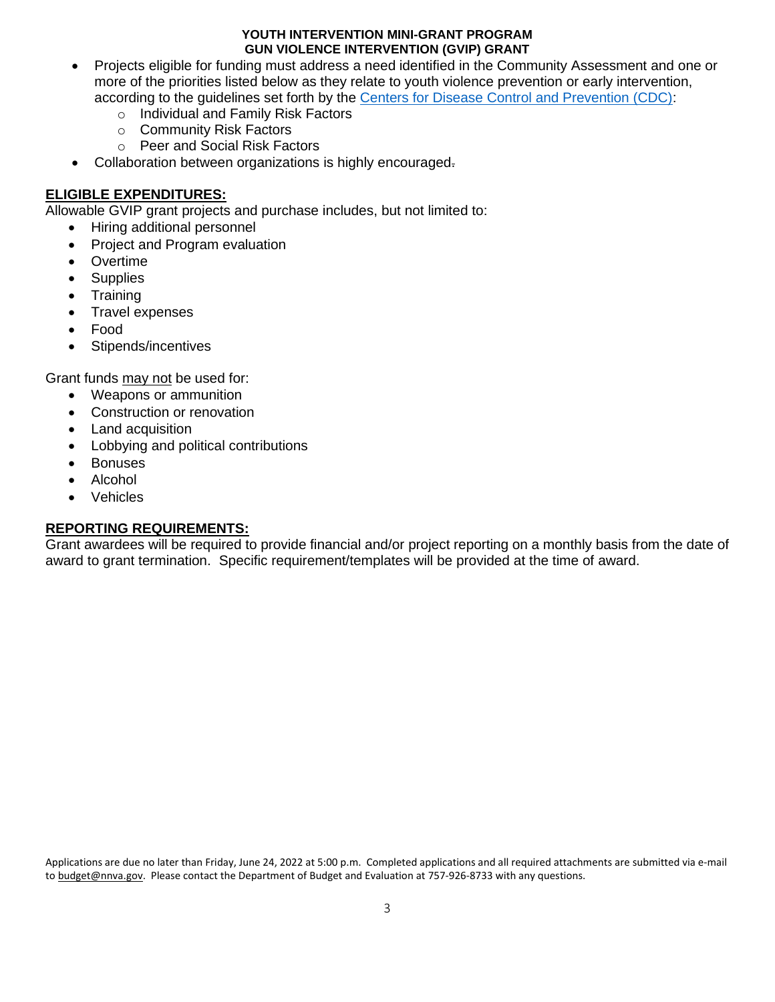- Projects eligible for funding must address a need identified in the Community Assessment and one or more of the priorities listed below as they relate to youth violence prevention or early intervention, according to the guidelines set forth by the [Centers for Disease Control and Prevention \(CDC\):](https://www.cdc.gov/violenceprevention/aces/riskprotectivefactors.html)
	- o Individual and Family Risk Factors
	- o Community Risk Factors
	- o Peer and Social Risk Factors
- Collaboration between organizations is highly encouraged.

## **ELIGIBLE EXPENDITURES:**

Allowable GVIP grant projects and purchase includes, but not limited to:

- Hiring additional personnel
- Project and Program evaluation
- Overtime
- **Supplies**
- **Training**
- Travel expenses
- Food
- Stipends/incentives

Grant funds may not be used for:

- Weapons or ammunition
- Construction or renovation
- Land acquisition
- Lobbying and political contributions
- Bonuses
- Alcohol
- **Vehicles**

## **REPORTING REQUIREMENTS:**

Grant awardees will be required to provide financial and/or project reporting on a monthly basis from the date of award to grant termination. Specific requirement/templates will be provided at the time of award.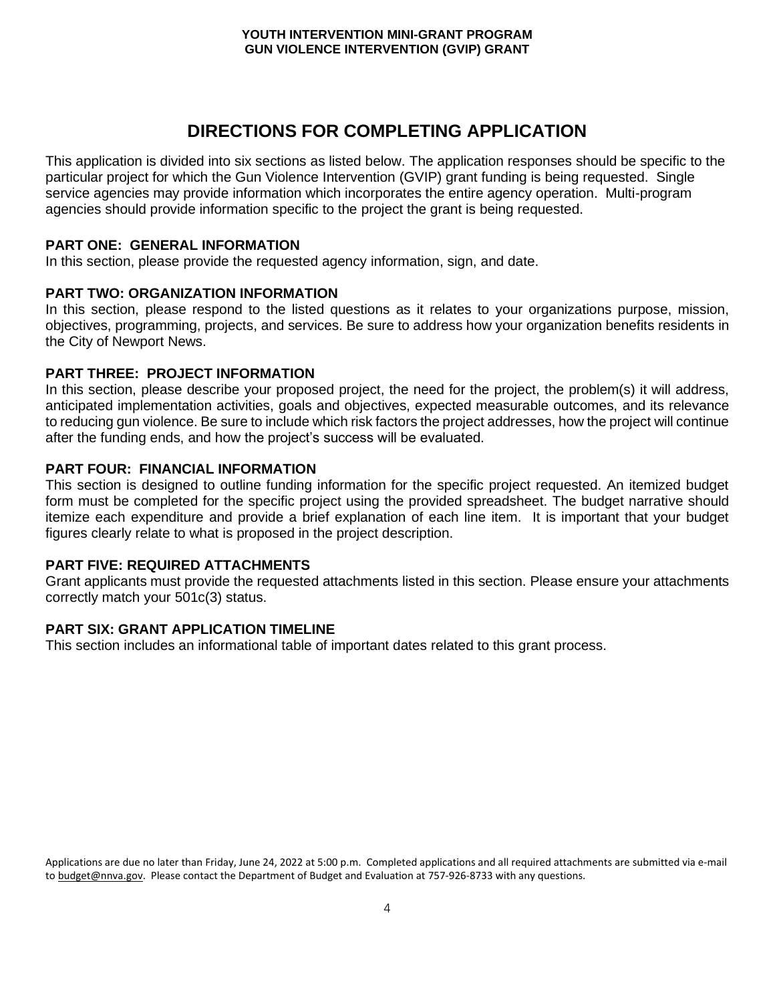## **DIRECTIONS FOR COMPLETING APPLICATION**

This application is divided into six sections as listed below. The application responses should be specific to the particular project for which the Gun Violence Intervention (GVIP) grant funding is being requested. Single service agencies may provide information which incorporates the entire agency operation. Multi-program agencies should provide information specific to the project the grant is being requested.

#### **PART ONE: GENERAL INFORMATION**

In this section, please provide the requested agency information, sign, and date.

#### **PART TWO: ORGANIZATION INFORMATION**

In this section, please respond to the listed questions as it relates to your organizations purpose, mission, objectives, programming, projects, and services. Be sure to address how your organization benefits residents in the City of Newport News.

#### **PART THREE: PROJECT INFORMATION**

In this section, please describe your proposed project, the need for the project, the problem(s) it will address, anticipated implementation activities, goals and objectives, expected measurable outcomes, and its relevance to reducing gun violence. Be sure to include which risk factors the project addresses, how the project will continue after the funding ends, and how the project's success will be evaluated.

#### **PART FOUR: FINANCIAL INFORMATION**

This section is designed to outline funding information for the specific project requested. An itemized budget form must be completed for the specific project using the provided spreadsheet. The budget narrative should itemize each expenditure and provide a brief explanation of each line item. It is important that your budget figures clearly relate to what is proposed in the project description.

#### **PART FIVE: REQUIRED ATTACHMENTS**

Grant applicants must provide the requested attachments listed in this section. Please ensure your attachments correctly match your 501c(3) status.

#### **PART SIX: GRANT APPLICATION TIMELINE**

This section includes an informational table of important dates related to this grant process.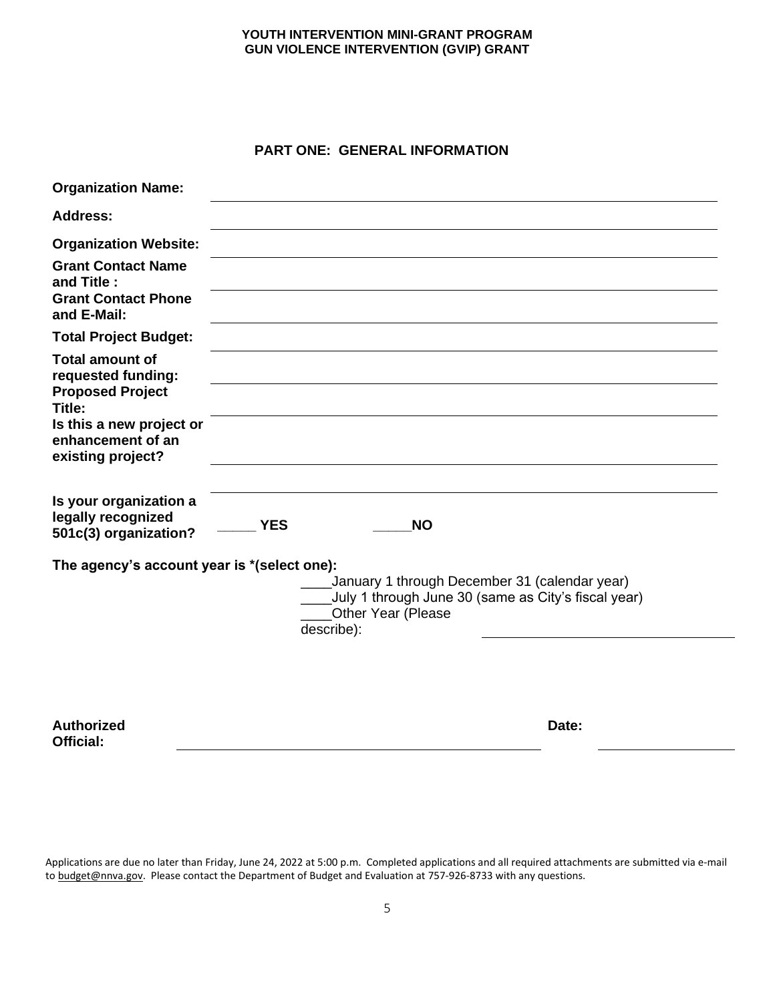## **PART ONE: GENERAL INFORMATION**

| <b>YES</b><br><b>NO</b>                                                                                                                                 |                                             |
|---------------------------------------------------------------------------------------------------------------------------------------------------------|---------------------------------------------|
| ____January 1 through December 31 (calendar year)<br>____July 1 through June 30 (same as City's fiscal year)<br><b>Other Year (Please</b><br>describe): |                                             |
|                                                                                                                                                         | The agency's account year is *(select one): |

**Authorized Official:**

**Date:**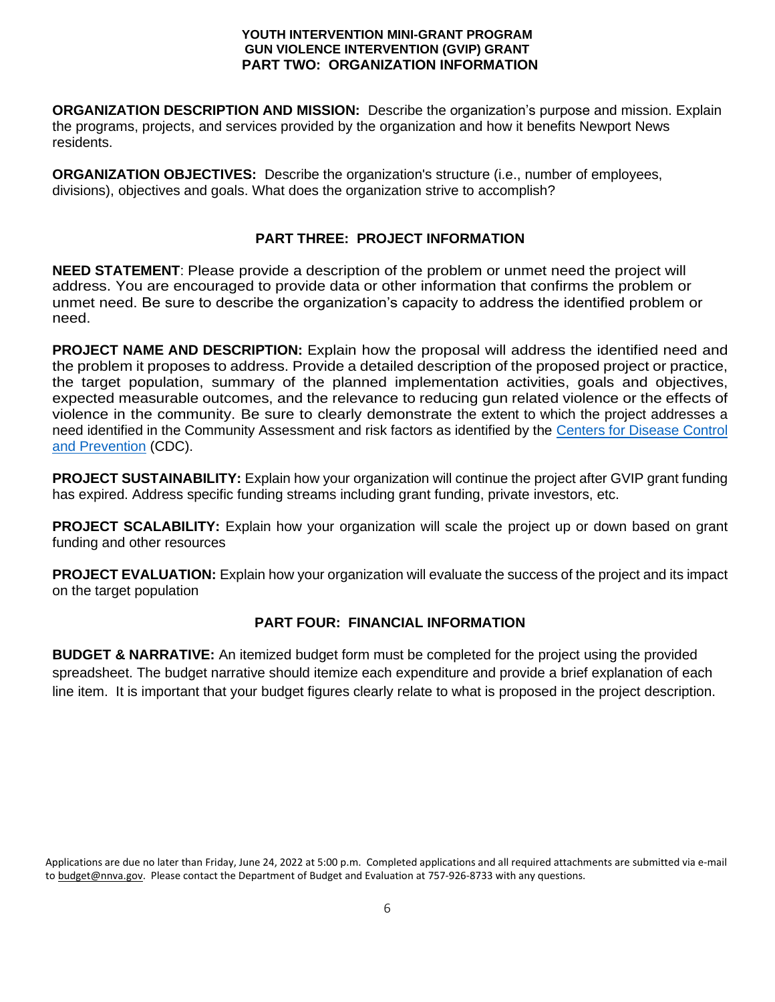#### **YOUTH INTERVENTION MINI-GRANT PROGRAM GUN VIOLENCE INTERVENTION (GVIP) GRANT PART TWO: ORGANIZATION INFORMATION**

**ORGANIZATION DESCRIPTION AND MISSION:** Describe the organization's purpose and mission. Explain the programs, projects, and services provided by the organization and how it benefits Newport News residents.

**ORGANIZATION OBJECTIVES:** Describe the organization's structure (i.e., number of employees, divisions), objectives and goals. What does the organization strive to accomplish?

## **PART THREE: PROJECT INFORMATION**

**NEED STATEMENT**: Please provide a description of the problem or unmet need the project will address. You are encouraged to provide data or other information that confirms the problem or unmet need. Be sure to describe the organization's capacity to address the identified problem or need.

**PROJECT NAME AND DESCRIPTION:** Explain how the proposal will address the identified need and the problem it proposes to address. Provide a detailed description of the proposed project or practice, the target population, summary of the planned implementation activities, goals and objectives, expected measurable outcomes, and the relevance to reducing gun related violence or the effects of violence in the community. Be sure to clearly demonstrate the extent to which the project addresses a need identified in the Community Assessment and risk factors as identified by the [Centers for Disease Control](https://www.cdc.gov/violenceprevention/aces/riskprotectivefactors.html)  [and Prevention](https://www.cdc.gov/violenceprevention/aces/riskprotectivefactors.html) (CDC).

**PROJECT SUSTAINABILITY:** Explain how your organization will continue the project after GVIP grant funding has expired. Address specific funding streams including grant funding, private investors, etc.

**PROJECT SCALABILITY:** Explain how your organization will scale the project up or down based on grant funding and other resources

**PROJECT EVALUATION:** Explain how your organization will evaluate the success of the project and its impact on the target population

## **PART FOUR: FINANCIAL INFORMATION**

**BUDGET & NARRATIVE:** An itemized budget form must be completed for the project using the provided spreadsheet. The budget narrative should itemize each expenditure and provide a brief explanation of each line item. It is important that your budget figures clearly relate to what is proposed in the project description.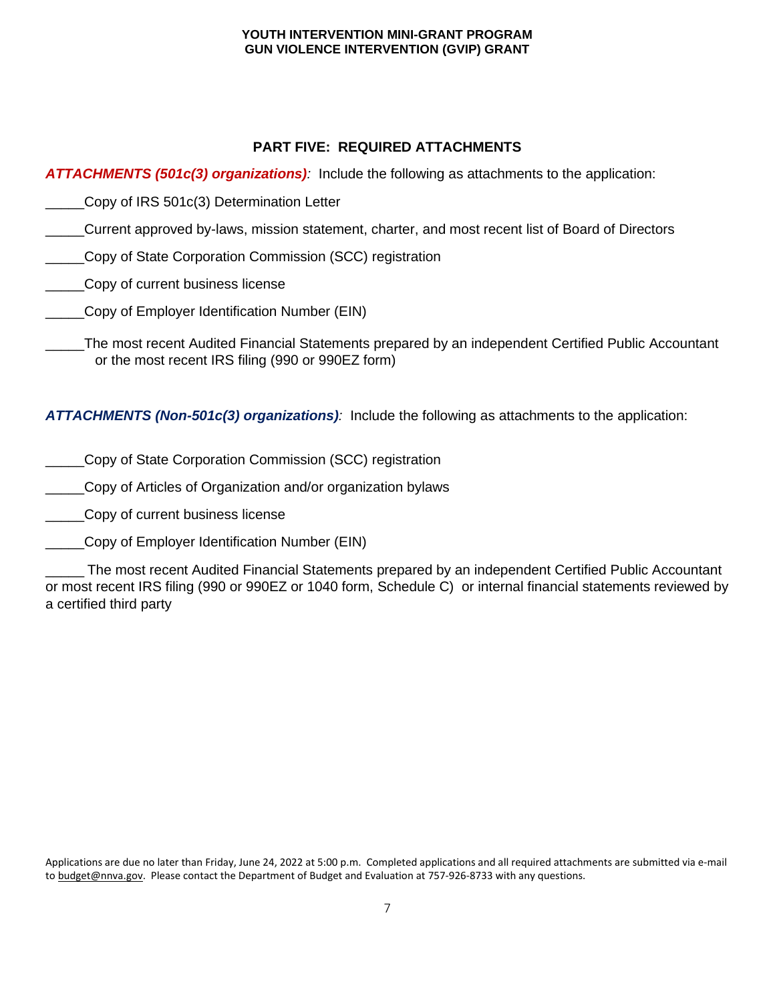## **PART FIVE: REQUIRED ATTACHMENTS**

*ATTACHMENTS (501c(3) organizations):* Include the following as attachments to the application:

- \_\_\_\_\_Copy of IRS 501c(3) Determination Letter
- \_\_\_\_\_Current approved by-laws, mission statement, charter, and most recent list of Board of Directors
- \_\_\_\_\_Copy of State Corporation Commission (SCC) registration
- **Copy of current business license**
- \_\_\_\_\_Copy of Employer Identification Number (EIN)
- \_\_\_\_\_The most recent Audited Financial Statements prepared by an independent Certified Public Accountant or the most recent IRS filing (990 or 990EZ form)

*ATTACHMENTS (Non-501c(3) organizations):* Include the following as attachments to the application:

- \_\_\_\_\_Copy of State Corporation Commission (SCC) registration
- \_\_\_\_\_Copy of Articles of Organization and/or organization bylaws
- \_\_\_\_\_Copy of current business license
- \_\_\_\_\_Copy of Employer Identification Number (EIN)

\_\_\_\_\_ The most recent Audited Financial Statements prepared by an independent Certified Public Accountant or most recent IRS filing (990 or 990EZ or 1040 form, Schedule C) or internal financial statements reviewed by a certified third party